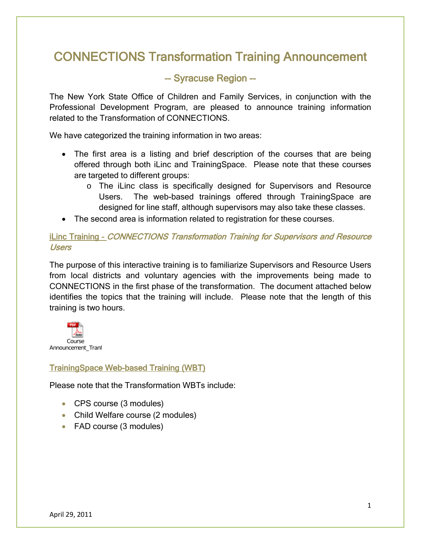# CONNECTIONS Transformation Training Announcement

# -- Syracuse Region --

The New York State Office of Children and Family Services, in conjunction with the Professional Development Program, are pleased to announce training information related to the Transformation of CONNECTIONS.

We have categorized the training information in two areas:

- The first area is a listing and brief description of the courses that are being offered through both iLinc and TrainingSpace. Please note that these courses are targeted to different groups:
	- o The iLinc class is specifically designed for Supervisors and Resource Users. The web-based trainings offered through TrainingSpace are designed for line staff, although supervisors may also take these classes.
- The second area is information related to registration for these courses.

## iLinc Training – CONNECTIONS Transformation Training for Supervisors and Resource Users

The purpose of this interactive training is to familiarize Supervisors and Resource Users from local districts and voluntary agencies with the improvements being made to CONNECTIONS in the first phase of the transformation. The document attached below identifies the topics that the training will include. Please note that the length of this training is two hours.



## TrainingSpace Web-based Training (WBT)

Please note that the Transformation WBTs include:

- CPS course (3 modules)
- Child Welfare course (2 modules)
- FAD course (3 modules)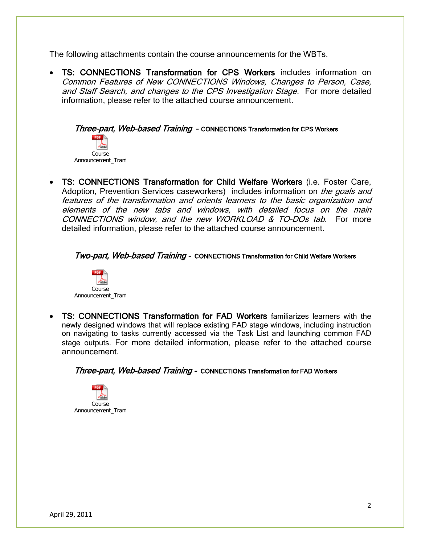The following attachments contain the course announcements for the WBTs.

• TS: CONNECTIONS Transformation for CPS Workers includes information on Common Features of New CONNECTIONS Windows, Changes to Person, Case, and Staff Search, and changes to the CPS Investigation Stage. For more detailed information, please refer to the attached course announcement.

Three-part, Web-based Training - CONNECTIONS Transformation for CPS Workers Course Announcement\_Tranf

• TS: CONNECTIONS Transformation for Child Welfare Workers (i.e. Foster Care, Adoption, Prevention Services caseworkers) includes information on the goals and features of the transformation and orients learners to the basic organization and elements of the new tabs and windows, with detailed focus on the main CONNECTIONS window, and the new WORKLOAD & TO-DOs tab. For more detailed information, please refer to the attached course announcement.

#### Two-part, Web-based Training - CONNECTIONS Transformation for Child Welfare Workers



• TS: CONNECTIONS Transformation for FAD Workers familiarizes learners with the newly designed windows that will replace existing FAD stage windows, including instruction on navigating to tasks currently accessed via the Task List and launching common FAD stage outputs. For more detailed information, please refer to the attached course announcement.

Three-part, Web-based Training - CONNECTIONS Transformation for FAD Workers

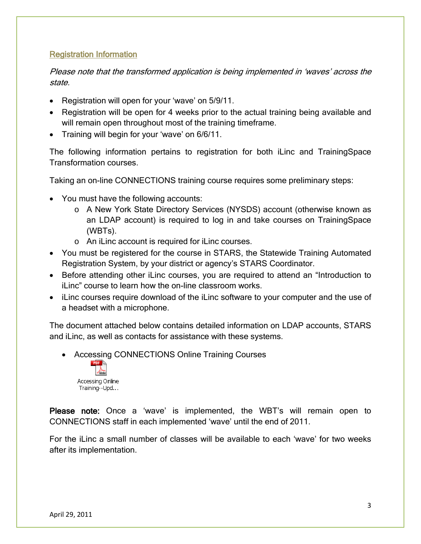## Registration Information

Please note that the transformed application is being implemented in 'waves' across the state.

- Registration will open for your 'wave' on 5/9/11.
- Registration will be open for 4 weeks prior to the actual training being available and will remain open throughout most of the training time frame.
- Training will begin for your 'wave' on 6/6/11.

The following information pertains to registration for both iLinc and TrainingSpace Transformation courses.

Taking an on-line CONNECTIONS training course requires some preliminary steps:

- You must have the following accounts:
	- o A New York State Directory Services (NYSDS) account (otherwise known as an LDAP account) is required to log in and take courses on TrainingSpace (WBTs).
	- o An iLinc account is required for iLinc courses.
- You must be registered for the course in STARS, the Statewide Training Automated Registration System, by your district or agency's STARS Coordinator.
- Before attending other iLinc courses, you are required to attend an "Introduction to iLinc" course to learn how the on-line classroom works.
- iLinc courses require download of the iLinc software to your computer and the use of a headset with a microphone.

The document attached below contains detailed information on LDAP accounts, STARS and iLinc, as well as contacts for assistance with these systems.

• Accessing CONNECTIONS Online Training Courses



Please note: Once a 'wave' is implemented, the WBT's will remain open to CONNECTIONS staff in each implemented 'wave' until the end of 2011.

For the iLinc a small number of classes will be available to each 'wave' for two weeks after its implementation.